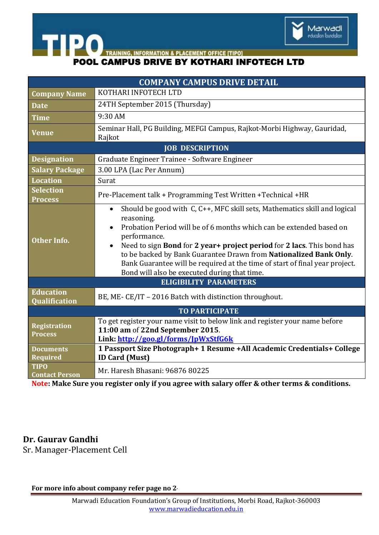

**POOL CAMPUS DRIVE BY KOTHARI INFOTECH LTD** 

| <b>COMPANY CAMPUS DRIVE DETAIL</b>       |                                                                                                                                                                                                                                                                                                                                                                                                                                                                                          |
|------------------------------------------|------------------------------------------------------------------------------------------------------------------------------------------------------------------------------------------------------------------------------------------------------------------------------------------------------------------------------------------------------------------------------------------------------------------------------------------------------------------------------------------|
| <b>Company Name</b>                      | KOTHARI INFOTECH LTD                                                                                                                                                                                                                                                                                                                                                                                                                                                                     |
| <b>Date</b>                              | 24TH September 2015 (Thursday)                                                                                                                                                                                                                                                                                                                                                                                                                                                           |
| <b>Time</b>                              | 9:30 AM                                                                                                                                                                                                                                                                                                                                                                                                                                                                                  |
| <b>Venue</b>                             | Seminar Hall, PG Building, MEFGI Campus, Rajkot-Morbi Highway, Gauridad,<br>Rajkot                                                                                                                                                                                                                                                                                                                                                                                                       |
| <b>JOB DESCRIPTION</b>                   |                                                                                                                                                                                                                                                                                                                                                                                                                                                                                          |
| <b>Designation</b>                       | Graduate Engineer Trainee - Software Engineer                                                                                                                                                                                                                                                                                                                                                                                                                                            |
| <b>Salary Package</b>                    | 3.00 LPA (Lac Per Annum)                                                                                                                                                                                                                                                                                                                                                                                                                                                                 |
| <b>Location</b>                          | Surat                                                                                                                                                                                                                                                                                                                                                                                                                                                                                    |
| <b>Selection</b><br><b>Process</b>       | Pre-Placement talk + Programming Test Written + Technical + HR                                                                                                                                                                                                                                                                                                                                                                                                                           |
| <b>Other Info.</b>                       | Should be good with $C, C++, MFC$ skill sets, Mathematics skill and logical<br>$\bullet$<br>reasoning.<br>Probation Period will be of 6 months which can be extended based on<br>performance.<br>Need to sign Bond for 2 year+ project period for 2 lacs. This bond has<br>$\bullet$<br>to be backed by Bank Guarantee Drawn from Nationalized Bank Only.<br>Bank Guarantee will be required at the time of start of final year project.<br>Bond will also be executed during that time. |
| <b>ELIGIBILITY PARAMETERS</b>            |                                                                                                                                                                                                                                                                                                                                                                                                                                                                                          |
| <b>Education</b><br><b>Qualification</b> | BE, ME-CE/IT - 2016 Batch with distinction throughout.                                                                                                                                                                                                                                                                                                                                                                                                                                   |
| <b>TO PARTICIPATE</b>                    |                                                                                                                                                                                                                                                                                                                                                                                                                                                                                          |
| <b>Registration</b><br><b>Process</b>    | To get register your name visit to below link and register your name before<br>11:00 am of 22nd September 2015.<br>Link: http://goo.gl/forms/JpWxStfG6k                                                                                                                                                                                                                                                                                                                                  |
| <b>Documents</b><br><b>Required</b>      | 1 Passport Size Photograph+ 1 Resume +All Academic Credentials+ College<br><b>ID Card (Must)</b>                                                                                                                                                                                                                                                                                                                                                                                         |
| <b>TIPO</b><br><b>Contact Person</b>     | Mr. Haresh Bhasani: 96876 80225                                                                                                                                                                                                                                                                                                                                                                                                                                                          |

**Note: Make Sure you register only if you agree with salary offer & other terms & conditions.**

**Dr. Gaurav Gandhi** Sr. Manager-Placement Cell

**For more info about company refer page no 2.**